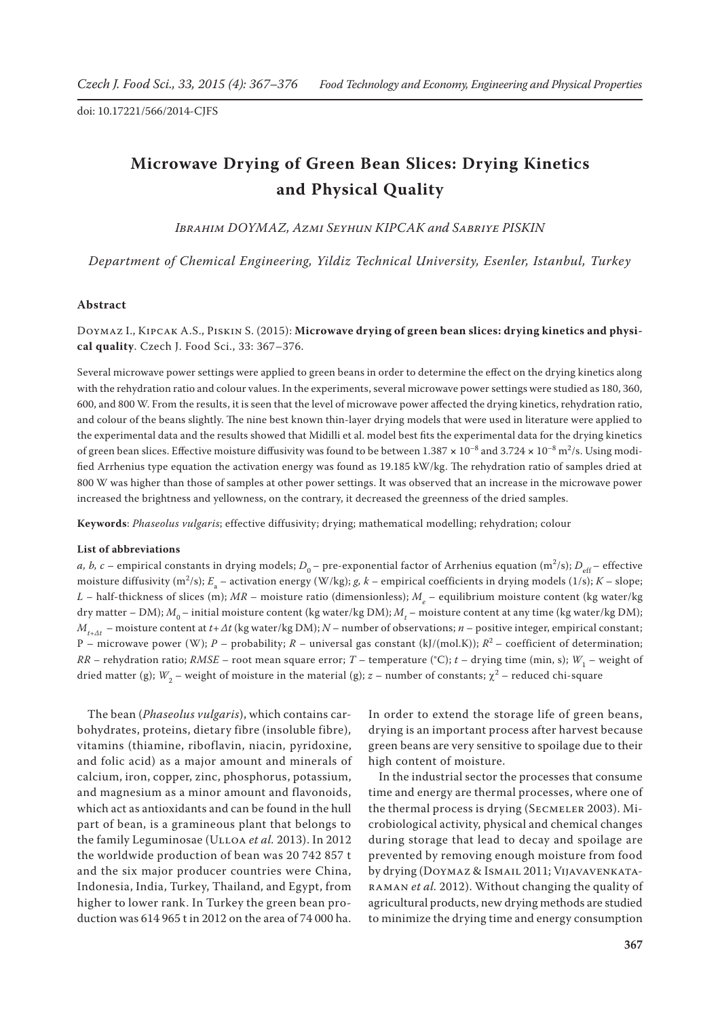# **Microwave Drying of Green Bean Slices: Drying Kinetics and Physical Quality**

*Ibrahim DOYMAZ, Azmi Seyhun KIPCAK and Sabriye PISKIN*

*Department of Chemical Engineering, Yildiz Technical University, Esenler, Istanbul, Turkey*

#### **Abstract**

Doymaz I., Kipcak A.S., Piskin S. (2015): **Microwave drying of green bean slices: drying kinetics and physical quality**. Czech J. Food Sci., 33: 367–376.

Several microwave power settings were applied to green beans in order to determine the effect on the drying kinetics along with the rehydration ratio and colour values. In the experiments, several microwave power settings were studied as 180, 360, 600, and 800 W. From the results, it is seen that the level of microwave power affected the drying kinetics, rehydration ratio, and colour of the beans slightly. The nine best known thin-layer drying models that were used in literature were applied to the experimental data and the results showed that Midilli et al. model best fits the experimental data for the drying kinetics of green bean slices. Effective moisture diffusivity was found to be between 1.387 **×** 10–8 and 3.724 **×** 10–8 m2 /s. Using modified Arrhenius type equation the activation energy was found as 19.185 kW/kg. The rehydration ratio of samples dried at 800 W was higher than those of samples at other power settings. It was observed that an increase in the microwave power increased the brightness and yellowness, on the contrary, it decreased the greenness of the dried samples.

**Keywords**: *Phaseolus vulgaris*; effective diffusivity; drying; mathematical modelling; rehydration; colour

### **List of abbreviations**

*a, b, c* – empirical constants in drying models;  $D_0$  – pre-exponential factor of Arrhenius equation (m<sup>2</sup>/s);  $D_{\text{eff}}$  – effective moisture diffusivity (m<sup>2</sup>/s); *E*<sub>a</sub> – activation energy (W/kg); *g, k* – empirical coefficients in drying models (1/s); *K* – slope;  $L$  – half-thickness of slices (m);  $MR$  – moisture ratio (dimensionless);  $M_{_e}$  – equilibrium moisture content (kg water/kg dry matter – DM);  $M^{}_0$  – initial moisture content (kg water/kg DM);  $M^{}_t$  – moisture content at any time (kg water/kg DM); *Mt+Δt* – moisture content at *t+Δt* (kg water/kg DM); *N* – number of observations; *n* – positive integer, empirical constant; P – microwave power (W); *P* – probability; *R –* universal gas constant (kJ/(mol.K)); *R*2 – coefficient of determination; *RR* – rehydration ratio; *RMSE* – root mean square error; *T* – temperature (°C); *t* – drying time (min, s); *W*<sub>1</sub> – weight of dried matter (g);  $W_2$  – weight of moisture in the material (g);  $z$  – number of constants;  $\chi^2$  – reduced chi-square

The bean (*Phaseolus vulgaris*), which contains carbohydrates, proteins, dietary fibre (insoluble fibre), vitamins (thiamine, riboflavin, niacin, pyridoxine, and folic acid) as a major amount and minerals of calcium, iron, copper, zinc, phosphorus, potassium, and magnesium as a minor amount and flavonoids, which act as antioxidants and can be found in the hull part of bean, is a gramineous plant that belongs to the family Leguminosae (Ulloa *et al.* 2013). In 2012 the worldwide production of bean was 20 742 857 t and the six major producer countries were China, Indonesia, India, Turkey, Thailand, and Egypt, from higher to lower rank. In Turkey the green bean production was 614 965 t in 2012 on the area of 74 000 ha.

In order to extend the storage life of green beans, drying is an important process after harvest because green beans are very sensitive to spoilage due to their high content of moisture.

In the industrial sector the processes that consume time and energy are thermal processes, where one of the thermal process is drying (Secmeler 2003). Microbiological activity, physical and chemical changes during storage that lead to decay and spoilage are prevented by removing enough moisture from food by drying (Doymaz & Ismail 2011; Vijavavenkataraman *et al.* 2012). Without changing the quality of agricultural products, new drying methods are studied to minimize the drying time and energy consumption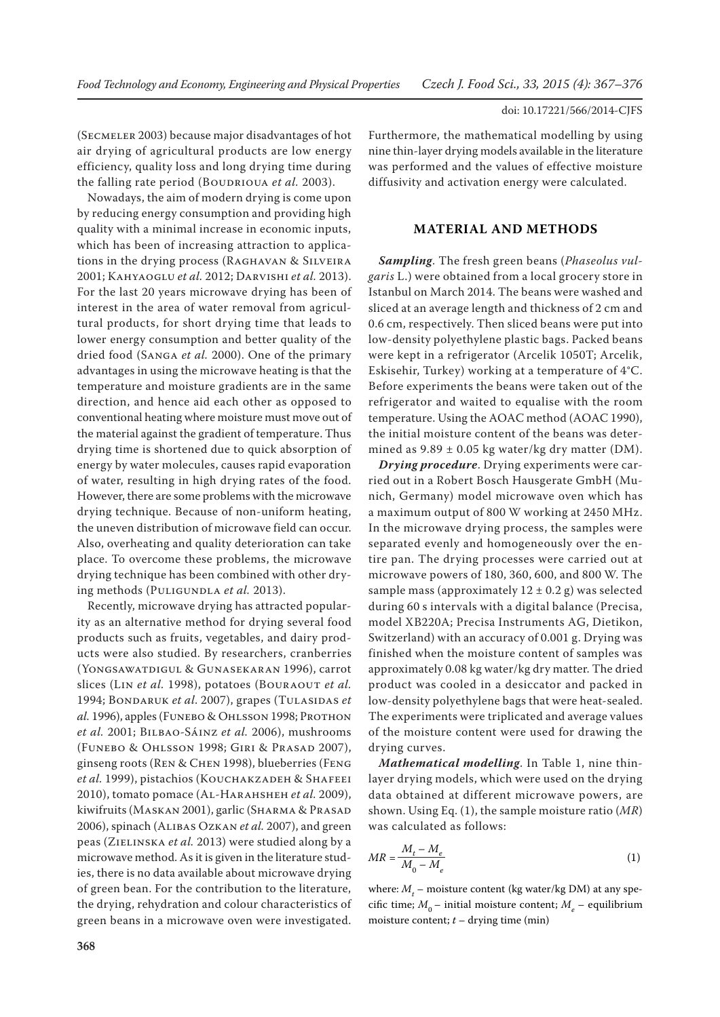(Secmeler 2003) because major disadvantages of hot air drying of agricultural products are low energy efficiency, quality loss and long drying time during the falling rate period (BOUDRIOUA *et al.* 2003).

Nowadays, the aim of modern drying is come upon by reducing energy consumption and providing high quality with a minimal increase in economic inputs, which has been of increasing attraction to applications in the drying process (Raghavan & Silveira 2001; Kahyaoglu *et al.* 2012; Darvishi *et al.* 2013). For the last 20 years microwave drying has been of interest in the area of water removal from agricultural products, for short drying time that leads to lower energy consumption and better quality of the dried food (Sanga *et al.* 2000). One of the primary advantages in using the microwave heating is that the temperature and moisture gradients are in the same direction, and hence aid each other as opposed to conventional heating where moisture must move out of the material against the gradient of temperature. Thus drying time is shortened due to quick absorption of energy by water molecules, causes rapid evaporation of water, resulting in high drying rates of the food. However, there are some problems with the microwave drying technique. Because of non-uniform heating, the uneven distribution of microwave field can occur. Also, overheating and quality deterioration can take place. To overcome these problems, the microwave drying technique has been combined with other drying methods (PULIGUNDLA *et al.* 2013).

Recently, microwave drying has attracted popularity as an alternative method for drying several food products such as fruits, vegetables, and dairy products were also studied. By researchers, cranberries (Yongsawatdigul & Gunasekaran 1996), carrot slices (LIN *et al.* 1998), potatoes (BOURAOUT *et al.* 1994; BONDARUK *et al.* 2007), grapes (TULASIDAS *et al.* 1996), apples (FUNEBO & OHLSSON 1998; PROTHON *et al.* 2001; Bilbao-Sáinz *et al.* 2006), mushrooms (Funebo & Ohlsson 1998; Giri & Prasad 2007), ginseng roots (Ren & Chen 1998), blueberries (Feng *et al.* 1999), pistachios (Kouchakzadeh & Shafeei 2010), tomato pomace (Al-Harahsheh *et al.* 2009), kiwifruits (MASKAN 2001), garlic (SHARMA & PRASAD 2006), spinach (Alibas Ozkan *et al.* 2007), and green peas (Zielinska *et al.* 2013) were studied along by a microwave method. As it is given in the literature studies, there is no data available about microwave drying of green bean. For the contribution to the literature, the drying, rehydration and colour characteristics of green beans in a microwave oven were investigated.

Furthermore, the mathematical modelling by using nine thin-layer drying models available in the literature was performed and the values of effective moisture diffusivity and activation energy were calculated.

# **MATERIAL AND METHODS**

*Sampling*. The fresh green beans (*Phaseolus vulgaris* L.) were obtained from a local grocery store in Istanbul on March 2014. The beans were washed and sliced at an average length and thickness of 2 cm and 0.6 cm, respectively. Then sliced beans were put into low-density polyethylene plastic bags. Packed beans were kept in a refrigerator (Arcelik 1050T; Arcelik, Eskisehir, Turkey) working at a temperature of 4°C. Before experiments the beans were taken out of the refrigerator and waited to equalise with the room temperature. Using the AOAC method (AOAC 1990), the initial moisture content of the beans was determined as  $9.89 \pm 0.05$  kg water/kg dry matter (DM).

*Drying procedure*. Drying experiments were carried out in a Robert Bosch Hausgerate GmbH (Munich, Germany) model microwave oven which has a maximum output of 800 W working at 2450 MHz. In the microwave drying process, the samples were separated evenly and homogeneously over the entire pan. The drying processes were carried out at microwave powers of 180, 360, 600, and 800 W. The sample mass (approximately  $12 \pm 0.2$  g) was selected during 60 s intervals with a digital balance (Precisa, model XB220A; Precisa Instruments AG, Dietikon, Switzerland) with an accuracy of 0.001 g. Drying was finished when the moisture content of samples was approximately 0.08 kg water/kg dry matter. The dried product was cooled in a desiccator and packed in low-density polyethylene bags that were heat-sealed. The experiments were triplicated and average values of the moisture content were used for drawing the drying curves.

*Mathematical modelling*. In Table 1, nine thinlayer drying models, which were used on the drying data obtained at different microwave powers, are shown. Using Eq. (1), the sample moisture ratio (*MR*) was calculated as follows:

$$
MR = \frac{M_t - M_e}{M_0 - M_e} \tag{1}
$$

where:  $M_t$  – moisture content (kg water/kg DM) at any specific time;  $M_0$  – initial moisture content;  $M_a$  – equilibrium moisture content; *t* – drying time (min)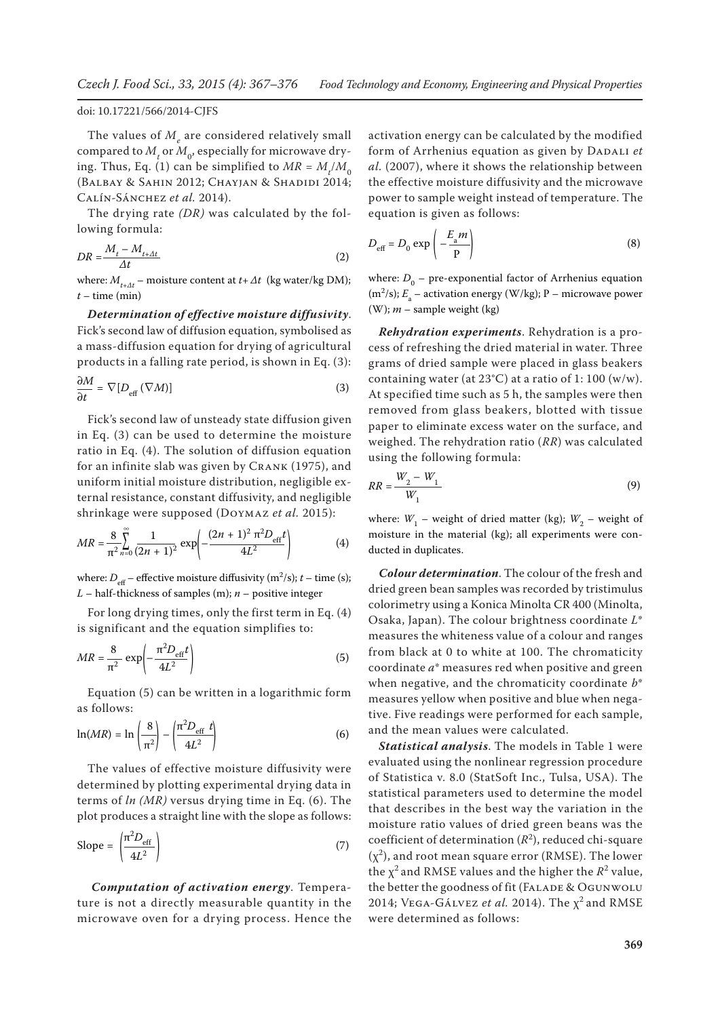The values of  $M_{_e}$  are considered relatively small compared to  $M_{t}^{}$  or  $M_{0}^{},$  especially for microwave drying. Thus, Eq. (1) can be simplified to  $MR = M_t/M_0$ (Balbay & Sahin 2012; Chayjan & Shadidi 2014; Calín-Sánchez *et al.* 2014).

The drying rate *(DR)* was calculated by the following formula:

$$
DR = \frac{M_t - M_{t + \Delta t}}{\Delta t} \tag{2}
$$

where:  $M_{t+At}$  – moisture content at  $t + \Delta t$  (kg water/kg DM); *t* – time (min)

*Determination of effective moisture diffusivity*. Fick's second law of diffusion equation, symbolised as a mass-diffusion equation for drying of agricultural products in a falling rate period, is shown in Eq. (3):

$$
\frac{\partial M}{\partial t} = \nabla \left[ D_{\text{eff}} \left( \nabla M \right) \right] \tag{3}
$$

Fick's second law of unsteady state diffusion given in Eq. (3) can be used to determine the moisture ratio in Eq. (4). The solution of diffusion equation for an infinite slab was given by CRANK (1975), and uniform initial moisture distribution, negligible external resistance, constant diffusivity, and negligible shrinkage were supposed (Doymaz *et al.* 2015):

$$
MR = \frac{8}{\pi^2} \sum_{n=0}^{\infty} \frac{1}{(2n+1)^2} \exp\left(-\frac{(2n+1)^2 \pi^2 D_{\text{eff}}t}{4L^2}\right)
$$
(4)

where:  $D_{\text{eff}}$  – effective moisture diffusivity (m<sup>2</sup>/s);  $t$  – time (s); *L* – half-thickness of samples (m); *n* – positive integer

For long drying times, only the first term in Eq. (4) is significant and the equation simplifies to:

$$
MR = \frac{8}{\pi^2} \exp\left(-\frac{\pi^2 D_{\text{eff}}t}{4L^2}\right) \tag{5}
$$

Equation (5) can be written in a logarithmic form as follows:

$$
\ln(MR) = \ln\left(\frac{8}{\pi^2}\right) - \left(\frac{\pi^2 D_{\text{eff}} t}{4L^2}\right) \tag{6}
$$

The values of effective moisture diffusivity were determined by plotting experimental drying data in terms of *ln (MR)* versus drying time in Eq. (6). The plot produces a straight line with the slope as follows:

Slope = 
$$
\left(\frac{\pi^2 D_{\text{eff}}}{4L^2}\right)
$$
 (7)

*Computation of activation energy*. Temperature is not a directly measurable quantity in the microwave oven for a drying process. Hence the

activation energy can be calculated by the modified form of Arrhenius equation as given by DADALI et *al.* (2007), where it shows the relationship between the effective moisture diffusivity and the microwave power to sample weight instead of temperature. The equation is given as follows:

$$
D_{\text{eff}} = D_0 \exp\left(-\frac{E_a m}{P}\right) \tag{8}
$$

where:  $D_0$  – pre-exponential factor of Arrhenius equation (m<sup>2</sup>/s);  $E_a$  – activation energy (W/kg); P – microwave power (W); *m* – sample weight (kg)

*Rehydration experiments*. Rehydration is a process of refreshing the dried material in water. Three grams of dried sample were placed in glass beakers containing water (at  $23^{\circ}$ C) at a ratio of 1:100 (w/w). At specified time such as 5 h, the samples were then removed from glass beakers, blotted with tissue paper to eliminate excess water on the surface, and weighed. The rehydration ratio (*RR*) was calculated using the following formula:

$$
RR = \frac{W_2 - W_1}{W_1} \tag{9}
$$

where:  $W_1$  – weight of dried matter (kg);  $W_2$  – weight of moisture in the material (kg); all experiments were conducted in duplicates.

*Colour determination*. The colour of the fresh and dried green bean samples was recorded by tristimulus colorimetry using a Konica Minolta CR 400 (Minolta, Osaka, Japan). The colour brightness coordinate *L*\* measures the whiteness value of a colour and ranges from black at 0 to white at 100. The chromaticity coordinate *a*\* measures red when positive and green when negative, and the chromaticity coordinate *b*\* measures yellow when positive and blue when negative. Five readings were performed for each sample, and the mean values were calculated.

*Statistical analysis*. The models in Table 1 were evaluated using the nonlinear regression procedure of Statistica v. 8.0 (StatSoft Inc., Tulsa, USA). The statistical parameters used to determine the model that describes in the best way the variation in the moisture ratio values of dried green beans was the coefficient of determination  $(R^2)$ , reduced chi-square  $(\chi^2)$ , and root mean square error (RMSE). The lower the  $\chi^2$  and RMSE values and the higher the  $R^2$  value, the better the goodness of fit (FALADE & OGUNWOLU 2014; VEGA-GÁLVEZ *et al.* 2014). The  $\chi^2$  and RMSE were determined as follows: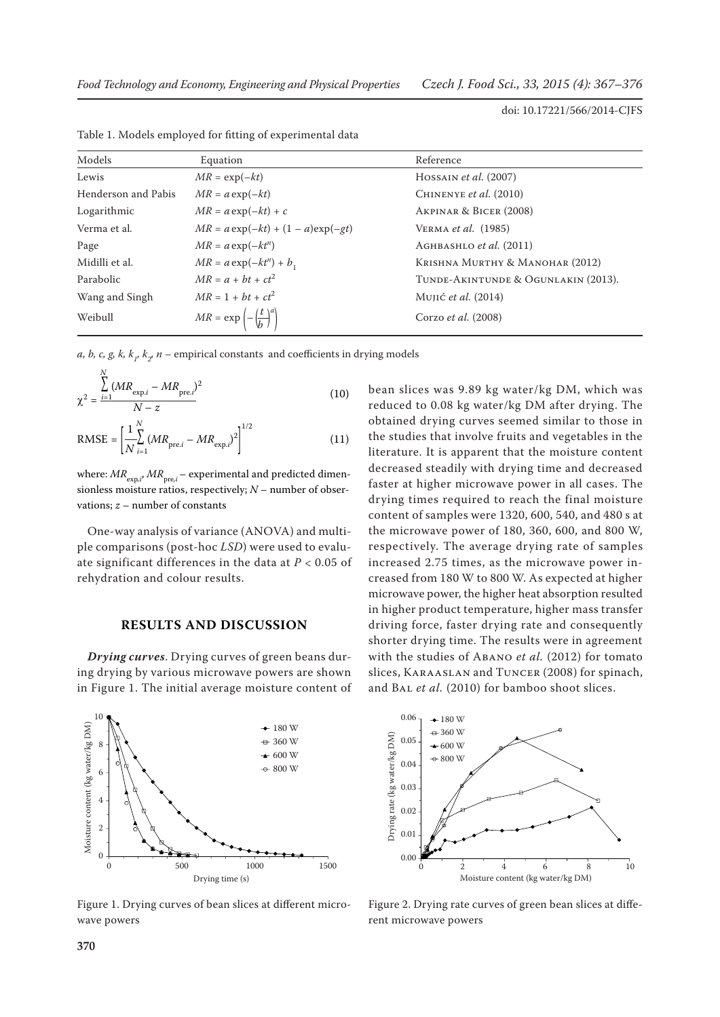| Models              | Equation                                            | Reference                           |
|---------------------|-----------------------------------------------------|-------------------------------------|
| Lewis               | $MR = \exp(-kt)$                                    | HOSSAIN <i>et al.</i> $(2007)$      |
| Henderson and Pabis | $MR = a \exp(-kt)$                                  | CHINENYE et al. (2010)              |
| Logarithmic         | $MR = a \exp(-kt) + c$                              | AKPINAR & BICER (2008)              |
| Verma et al.        | $MR = a \exp(-kt) + (1 - a) \exp(-gt)$              | VERMA <i>et al.</i> (1985)          |
| Page                | $MR = a \exp(-kt^n)$                                | AGHBASHLO et al. (2011)             |
| Midilli et al.      | $MR = a \exp(-kt^n) + b_1$                          | KRISHNA MURTHY & MANOHAR (2012)     |
| Parabolic           | $MR = a + bt + ct^2$                                | TUNDE-AKINTUNDE & OGUNLAKIN (2013). |
| Wang and Singh      | $MR = 1 + bt + ct^2$                                | Mujić <i>et al.</i> (2014)          |
| Weibull             | $MR = \exp\left(-\left(\frac{t}{b}\right)^a\right)$ | Corzo et al. (2008)                 |

Table 1. Models employed for fitting of experimental data

*a, b, c, g, k, k<sub>1</sub>, k<sub>2</sub>, n* – empirical constants and coefficients in drying models

$$
\chi^{2} = \frac{\sum_{i=1}^{N} (MR_{\text{exp},i} - MR_{\text{pre},i})^{2}}{N - z}
$$
(10)

RMSE = 
$$
\left[\frac{1}{N} \sum_{i=1}^{N} (MR_{\text{pre},i} - MR_{\text{exp},i})^2\right]^{1/2}
$$
 (11)

where:  $MR_{\text{exp},i}$ ,  $MR_{\text{pre},i}$  – experimental and predicted dimensionless moisture ratios, respectively; *N* – number of observations; *z* – number of constants

One-way analysis of variance (ANOVA) and multiple comparisons (post-hoc *LSD*) were used to evaluate significant differences in the data at *P* < 0.05 of rehydration and colour results.

#### **RESULTS AND DISCUSSION**

*Drying curves*. Drying curves of green beans during drying by various microwave powers are shown in Figure 1. The initial average moisture content of



Figure 1. Drying curves of bean slices at different microwave powers

bean slices was 9.89 kg water/kg DM, which was reduced to 0.08 kg water/kg DM after drying. The obtained drying curves seemed similar to those in the studies that involve fruits and vegetables in the literature. It is apparent that the moisture content decreased steadily with drying time and decreased faster at higher microwave power in all cases. The drying times required to reach the final moisture content of samples were 1320, 600, 540, and 480 s at the microwave power of 180, 360, 600, and 800 W, respectively. The average drying rate of samples increased 2.75 times, as the microwave power increased from 180 W to 800 W. As expected at higher microwave power, the higher heat absorption resulted in higher product temperature, higher mass transfer driving force, faster drying rate and consequently shorter drying time. The results were in agreement with the studies of Abano *et al.* (2012) for tomato slices, Karaaslan and Tuncer (2008) for spinach, and Bal *et al.* (2010) for bamboo shoot slices.



Figure 2. Drying rate curves of green bean slices at different microwave powers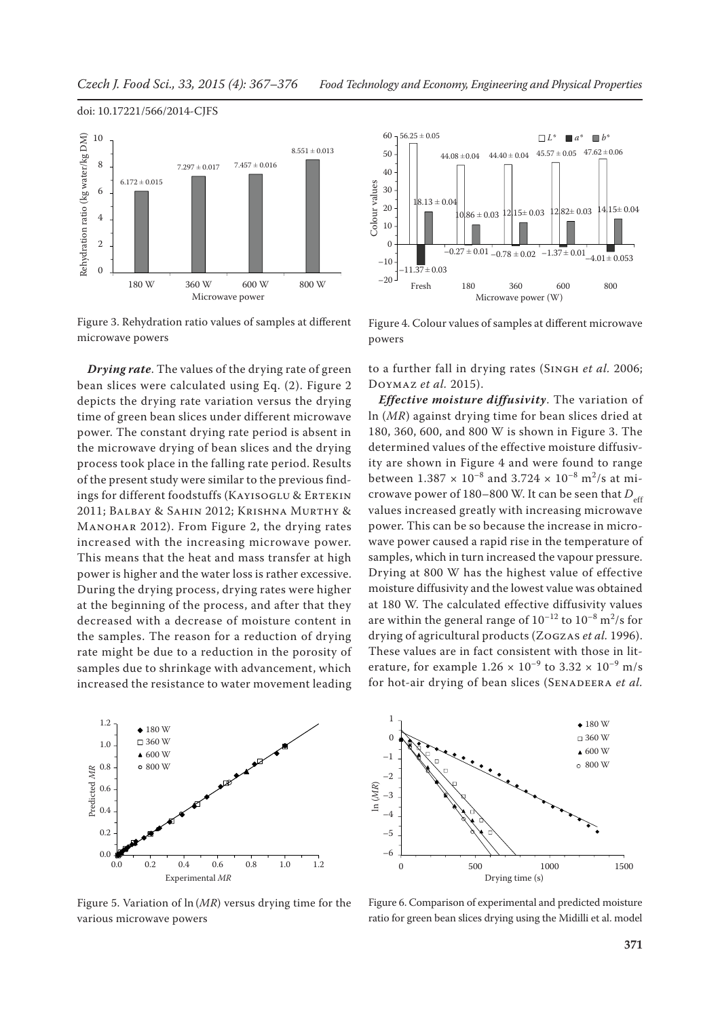# Rehydration ratio (kg water/kg DM) Rehydration ratio (kg water/kg DM) 10  $8.551 \pm 0.013$ 8  $7.297 \pm 0.017$   $7.457 \pm 0.016$  $6.172 \pm 0.015$ 6 4 2 0 180 W 360 W 600 W 800 W Microwave power

Figure 3. Rehydration ratio values of samples at different microwave powers

*Drying rate*. The values of the drying rate of green bean slices were calculated using Eq. (2). Figure 2 depicts the drying rate variation versus the drying time of green bean slices under different microwave power. The constant drying rate period is absent in the microwave drying of bean slices and the drying process took place in the falling rate period. Results of the present study were similar to the previous findings for different foodstuffs (KAYISOGLU & ERTEKIN 2011; Balbay & Sahin 2012; Krishna Murthy & MANOHAR 2012). From Figure 2, the drying rates increased with the increasing microwave power. This means that the heat and mass transfer at high power is higher and the water loss is rather excessive. During the drying process, drying rates were higher at the beginning of the process, and after that they decreased with a decrease of moisture content in the samples. The reason for a reduction of drying rate might be due to a reduction in the porosity of samples due to shrinkage with advancement, which increased the resistance to water movement leading



Figure 5. Variation of ln (*MR*) versus drying time for the various microwave powers



Figure 4. Colour values of samples at different microwave powers

to a further fall in drying rates (SINGH et al. 2006; Doymaz *et al.* 2015).

*Effective moisture diffusivity*. The variation of ln (*MR*) against drying time for bean slices dried at 180, 360, 600, and 800 W is shown in Figure 3. The determined values of the effective moisture diffusivity are shown in Figure 4 and were found to range between  $1.387 \times 10^{-8}$  and  $3.724 \times 10^{-8}$  m<sup>2</sup>/s at microwave power of 180–800 W. It can be seen that  $D_{\text{eff}}$ values increased greatly with increasing microwave power. This can be so because the increase in microwave power caused a rapid rise in the temperature of samples, which in turn increased the vapour pressure. Drying at 800 W has the highest value of effective moisture diffusivity and the lowest value was obtained at 180 W. The calculated effective diffusivity values are within the general range of  $10^{-12}$  to  $10^{-8}$  m<sup>2</sup>/s for drying of agricultural products (Zogzas *et al.* 1996). These values are in fact consistent with those in literature, for example  $1.26 \times 10^{-9}$  to  $3.32 \times 10^{-9}$  m/s for hot-air drying of bean slices (SENADEERA et al.



Figure 6. Comparison of experimental and predicted moisture ratio for green bean slices drying using the Midilli et al. model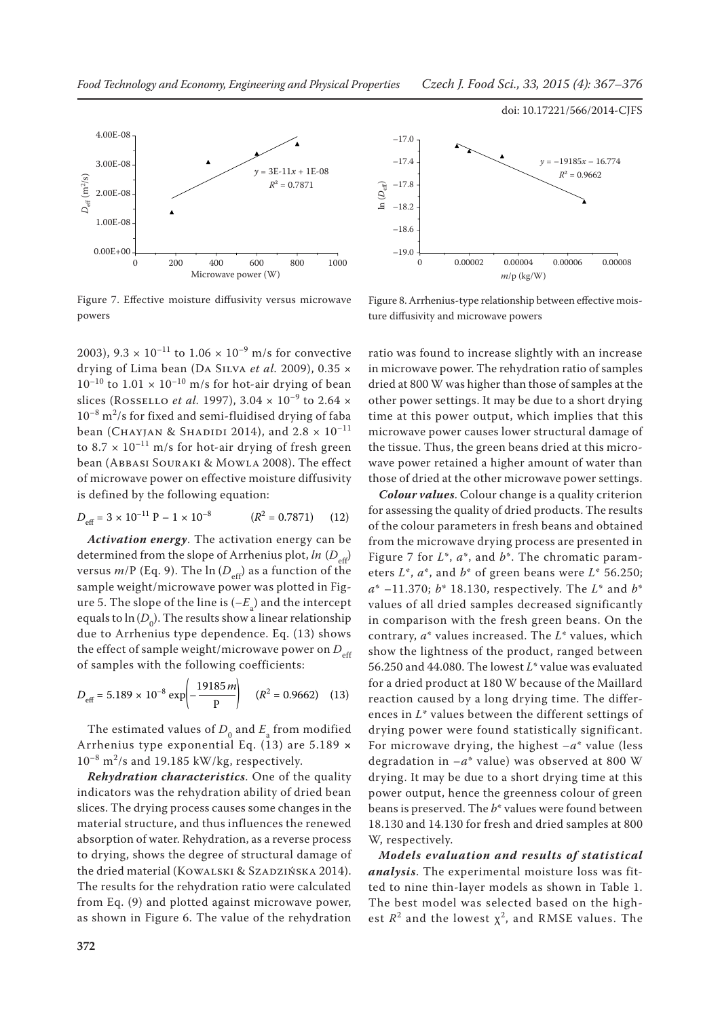

Figure 7. Effective moisture diffusivity versus microwave powers

2003),  $9.3 \times 10^{-11}$  to  $1.06 \times 10^{-9}$  m/s for convective drying of Lima bean (Da Silva *et al.* 2009), 0.35 ×  $10^{-10}$  to  $1.01 \times 10^{-10}$  m/s for hot-air drying of bean slices (ROSSELLO *et al.* 1997),  $3.04 \times 10^{-9}$  to  $2.64 \times$  $10^{-8}$  m<sup>2</sup>/s for fixed and semi-fluidised drying of faba bean (CHAYJAN & SHADIDI 2014), and  $2.8 \times 10^{-11}$ to  $8.7 \times 10^{-11}$  m/s for hot-air drying of fresh green bean (Abbasi Souraki & Mowla 2008). The effect of microwave power on effective moisture diffusivity is defined by the following equation:

$$
D_{\text{eff}} = 3 \times 10^{-11} \text{ P} - 1 \times 10^{-8} \qquad (R^2 = 0.7871) \qquad (12)
$$

*Activation energy*. The activation energy can be determined from the slope of Arrhenius plot, *ln* (*D*<sub>eff</sub>) versus  $m/P$  (Eq. 9). The  $\ln(D_{\text{eff}})$  as a function of the sample weight/microwave power was plotted in Figure 5. The slope of the line is  $(-E_{\rm a})$  and the intercept equals to  $\ln(D_0)$ . The results show a linear relationship due to Arrhenius type dependence. Eq. (13) shows the effect of sample weight/microwave power on  $D_{\text{eff}}$ of samples with the following coefficients:

$$
D_{\text{eff}} = 5.189 \times 10^{-8} \exp\left(-\frac{19185 \, \text{m}}{P}\right) \quad (R^2 = 0.9662) \quad (13)
$$

The estimated values of  $D_0$  and  $E_a$  from modified Arrhenius type exponential Eq. (13) are 5.189 **×**   $10^{-8}$  m<sup>2</sup>/s and 19.185 kW/kg, respectively.

*Rehydration characteristics*. One of the quality indicators was the rehydration ability of dried bean slices. The drying process causes some changes in the material structure, and thus influences the renewed absorption of water. Rehydration, as a reverse process to drying, shows the degree of structural damage of the dried material (KOWALSKI & SZADZIŃSKA 2014). The results for the rehydration ratio were calculated from Eq. (9) and plotted against microwave power, as shown in Figure 6. The value of the rehydration



Figure 8. Arrhenius-type relationship between effective moisture diffusivity and microwave powers

ratio was found to increase slightly with an increase in microwave power. The rehydration ratio of samples dried at 800 W was higher than those of samples at the other power settings. It may be due to a short drying time at this power output, which implies that this microwave power causes lower structural damage of the tissue. Thus, the green beans dried at this microwave power retained a higher amount of water than those of dried at the other microwave power settings.

*Colour values*. Colour change is a quality criterion for assessing the quality of dried products. The results of the colour parameters in fresh beans and obtained from the microwave drying process are presented in Figure 7 for *L*\*, *a*\*, and *b*\*. The chromatic parameters *L*\*, *a*\*, and *b*\* of green beans were *L*\* 56.250; *a*\* –11.370; *b*\* 18.130, respectively. The *L*\* and *b*\* values of all dried samples decreased significantly in comparison with the fresh green beans. On the contrary, *a*\* values increased. The *L*\* values, which show the lightness of the product, ranged between 56.250 and 44.080. The lowest *L*\* value was evaluated for a dried product at 180 W because of the Maillard reaction caused by a long drying time. The differences in *L*\* values between the different settings of drying power were found statistically significant. For microwave drying, the highest –*a*\* value (less degradation in  $-a^*$  value) was observed at 800 W drying. It may be due to a short drying time at this power output, hence the greenness colour of green beans is preserved. The *b*\* values were found between 18.130 and 14.130 for fresh and dried samples at 800 W, respectively.

*Models evaluation and results of statistical analysis*. The experimental moisture loss was fitted to nine thin-layer models as shown in Table 1. The best model was selected based on the highest  $R^2$  and the lowest  $\chi^2$ , and RMSE values. The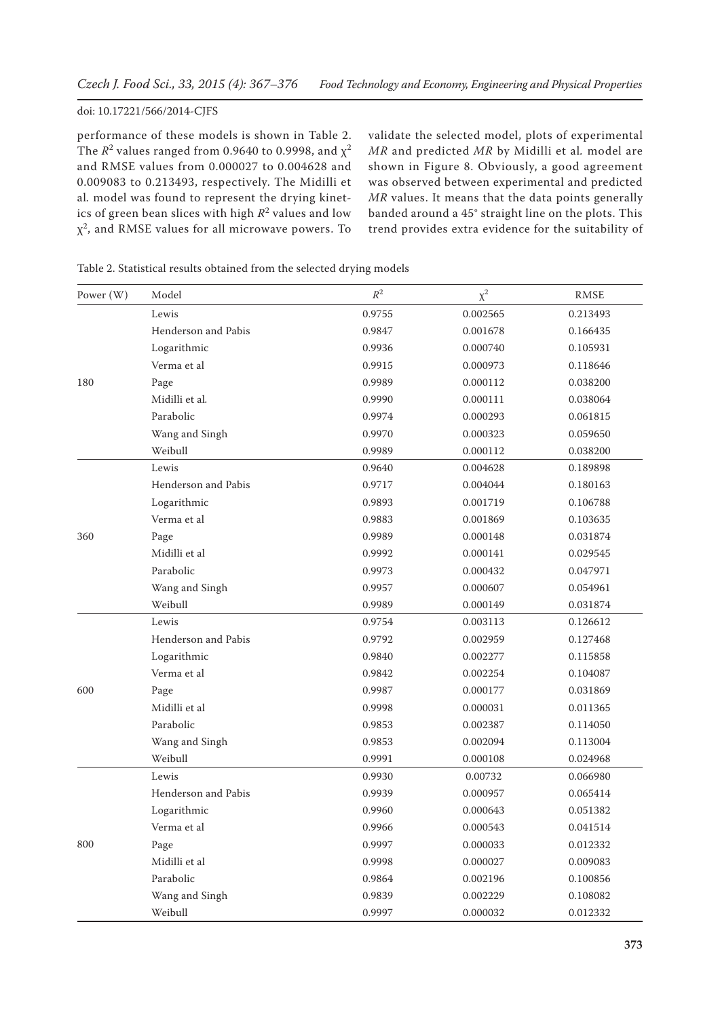performance of these models is shown in Table 2. The  $R^2$  values ranged from 0.9640 to 0.9998, and  $\chi^2$ and RMSE values from 0.000027 to 0.004628 and 0.009083 to 0.213493, respectively. The Midilli et al*.* model was found to represent the drying kinetics of green bean slices with high  $R^2$  values and low  $\chi^2$ , and RMSE values for all microwave powers. To validate the selected model, plots of experimental *MR* and predicted *MR* by Midilli et al*.* model are shown in Figure 8. Obviously, a good agreement was observed between experimental and predicted *MR* values. It means that the data points generally banded around a 45° straight line on the plots. This trend provides extra evidence for the suitability of

| Power (W) | Model               | $\mathbb{R}^2$ | $\chi^2$ | <b>RMSE</b> |
|-----------|---------------------|----------------|----------|-------------|
|           | Lewis               | 0.9755         | 0.002565 | 0.213493    |
|           | Henderson and Pabis | 0.9847         | 0.001678 | 0.166435    |
|           | Logarithmic         | 0.9936         | 0.000740 | 0.105931    |
|           | Verma et al         | 0.9915         | 0.000973 | 0.118646    |
| 180       | Page                | 0.9989         | 0.000112 | 0.038200    |
|           | Midilli et al.      | 0.9990         | 0.000111 | 0.038064    |
|           | Parabolic           | 0.9974         | 0.000293 | 0.061815    |
|           | Wang and Singh      | 0.9970         | 0.000323 | 0.059650    |
|           | Weibull             | 0.9989         | 0.000112 | 0.038200    |
|           | Lewis               | 0.9640         | 0.004628 | 0.189898    |
|           | Henderson and Pabis | 0.9717         | 0.004044 | 0.180163    |
|           | Logarithmic         | 0.9893         | 0.001719 | 0.106788    |
| 360       | Verma et al         | 0.9883         | 0.001869 | 0.103635    |
|           | Page                | 0.9989         | 0.000148 | 0.031874    |
|           | Midilli et al       | 0.9992         | 0.000141 | 0.029545    |
|           | Parabolic           | 0.9973         | 0.000432 | 0.047971    |
|           | Wang and Singh      | 0.9957         | 0.000607 | 0.054961    |
|           | Weibull             | 0.9989         | 0.000149 | 0.031874    |
|           | Lewis               | 0.9754         | 0.003113 | 0.126612    |
|           | Henderson and Pabis | 0.9792         | 0.002959 | 0.127468    |
|           | Logarithmic         | 0.9840         | 0.002277 | 0.115858    |
|           | Verma et al         | 0.9842         | 0.002254 | 0.104087    |
| 600       | Page                | 0.9987         | 0.000177 | 0.031869    |
|           | Midilli et al       | 0.9998         | 0.000031 | 0.011365    |
|           | Parabolic           | 0.9853         | 0.002387 | 0.114050    |
|           | Wang and Singh      | 0.9853         | 0.002094 | 0.113004    |
|           | Weibull             | 0.9991         | 0.000108 | 0.024968    |
| 800       | Lewis               | 0.9930         | 0.00732  | 0.066980    |
|           | Henderson and Pabis | 0.9939         | 0.000957 | 0.065414    |
|           | Logarithmic         | 0.9960         | 0.000643 | 0.051382    |
|           | Verma et al         | 0.9966         | 0.000543 | 0.041514    |
|           | Page                | 0.9997         | 0.000033 | 0.012332    |
|           | Midilli et al       | 0.9998         | 0.000027 | 0.009083    |
|           | Parabolic           | 0.9864         | 0.002196 | 0.100856    |
|           | Wang and Singh      | 0.9839         | 0.002229 | 0.108082    |
|           | Weibull             | 0.9997         | 0.000032 | 0.012332    |

Table 2. Statistical results obtained from the selected drying models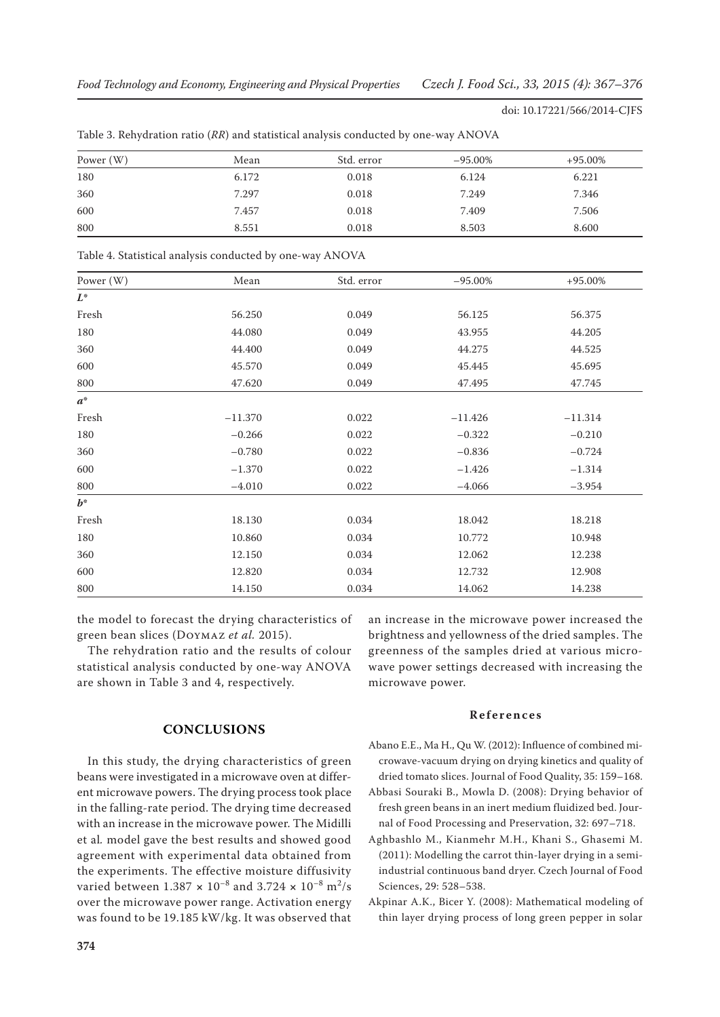| Power $(W)$ | Mean  | Std. error | $-95.00\%$ | $+95.00\%$ |
|-------------|-------|------------|------------|------------|
| 180         | 6.172 | 0.018      | 6.124      | 6.221      |
| 360         | 7.297 | 0.018      | 7.249      | 7.346      |
| 600         | 7.457 | 0.018      | 7.409      | 7.506      |
| 800         | 8.551 | 0.018      | 8.503      | 8.600      |

Table 3. Rehydration ratio (*RR*) and statistical analysis conducted by one-way ANOVA

Table 4. Statistical analysis conducted by one-way ANOVA

| Power (W) | Mean      | Std. error | $-95.00\%$ | $+95.00\%$ |
|-----------|-----------|------------|------------|------------|
| $L^*$     |           |            |            |            |
| Fresh     | 56.250    | 0.049      | 56.125     | 56.375     |
| 180       | 44.080    | 0.049      | 43.955     | 44.205     |
| 360       | 44.400    | 0.049      | 44.275     | 44.525     |
| 600       | 45.570    | 0.049      | 45.445     | 45.695     |
| 800       | 47.620    | 0.049      | 47.495     | 47.745     |
| $a^*$     |           |            |            |            |
| Fresh     | $-11.370$ | 0.022      | $-11.426$  | $-11.314$  |
| 180       | $-0.266$  | 0.022      | $-0.322$   | $-0.210$   |
| 360       | $-0.780$  | 0.022      | $-0.836$   | $-0.724$   |
| 600       | $-1.370$  | 0.022      | $-1.426$   | $-1.314$   |
| 800       | $-4.010$  | 0.022      | $-4.066$   | $-3.954$   |
| $b^*$     |           |            |            |            |
| Fresh     | 18.130    | 0.034      | 18.042     | 18.218     |
| 180       | 10.860    | 0.034      | 10.772     | 10.948     |
| 360       | 12.150    | 0.034      | 12.062     | 12.238     |
| 600       | 12.820    | 0.034      | 12.732     | 12.908     |
| 800       | 14.150    | 0.034      | 14.062     | 14.238     |

the model to forecast the drying characteristics of green bean slices (Doymaz *et al.* 2015).

The rehydration ratio and the results of colour statistical analysis conducted by one-way ANOVA are shown in Table 3 and 4, respectively.

# **CONCLUSIONS**

In this study, the drying characteristics of green beans were investigated in a microwave oven at different microwave powers. The drying process took place in the falling-rate period. The drying time decreased with an increase in the microwave power. The Midilli et al*.* model gave the best results and showed good agreement with experimental data obtained from the experiments. The effective moisture diffusivity varied between 1.387 **×** 10–8 and 3.724 **×** 10–8 m2 /s over the microwave power range. Activation energy was found to be 19.185 kW/kg. It was observed that

**374**

an increase in the microwave power increased the brightness and yellowness of the dried samples. The greenness of the samples dried at various microwave power settings decreased with increasing the microwave power.

## **References**

- Abano E.E., Ma H., Qu W. (2012): Influence of combined microwave-vacuum drying on drying kinetics and quality of dried tomato slices. Journal of Food Quality, 35: 159–168.
- Abbasi Souraki B., Mowla D. (2008): Drying behavior of fresh green beans in an inert medium fluidized bed. Journal of Food Processing and Preservation, 32: 697–718.
- Aghbashlo M., Kianmehr M.H., Khani S., Ghasemi M. (2011): Modelling the carrot thin-layer drying in a semiindustrial continuous band dryer. Czech Journal of Food Sciences, 29: 528–538.
- Akpinar A.K., Bicer Y. (2008): Mathematical modeling of thin layer drying process of long green pepper in solar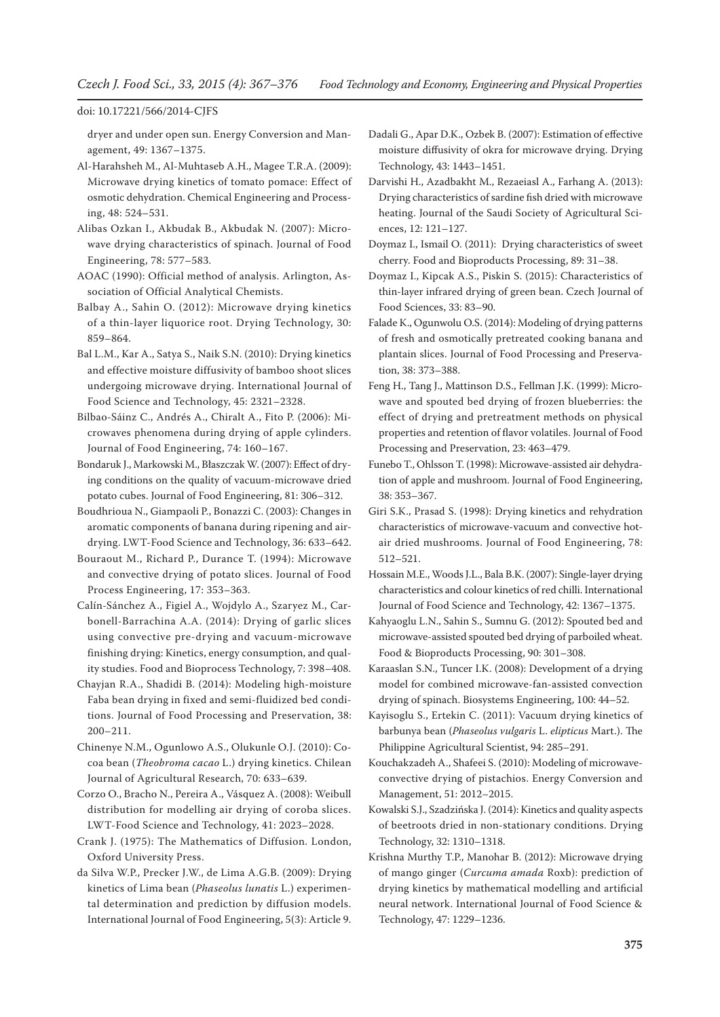dryer and under open sun. Energy Conversion and Management, 49: 1367–1375.

Al-Harahsheh M., Al-Muhtaseb A.H., Magee T.R.A. (2009): Microwave drying kinetics of tomato pomace: Effect of osmotic dehydration. Chemical Engineering and Processing, 48: 524–531.

Alibas Ozkan I., Akbudak B., Akbudak N. (2007): Microwave drying characteristics of spinach. Journal of Food Engineering, 78: 577–583.

AOAC (1990): Official method of analysis. Arlington, Association of Official Analytical Chemists.

Balbay A., Sahin O. (2012): Microwave drying kinetics of a thin-layer liquorice root. Drying Technology, 30: 859–864.

Bal L.M., Kar A., Satya S., Naik S.N. (2010): Drying kinetics and effective moisture diffusivity of bamboo shoot slices undergoing microwave drying. International Journal of Food Science and Technology, 45: 2321–2328.

Bilbao-Sáinz C., Andrés A., Chiralt A., Fito P. (2006): Microwaves phenomena during drying of apple cylinders. Journal of Food Engineering, 74: 160–167.

Bondaruk J., Markowski M., Błaszczak W. (2007): Effect of drying conditions on the quality of vacuum-microwave dried potato cubes. Journal of Food Engineering, 81: 306–312.

Boudhrioua N., Giampaoli P., Bonazzi C. (2003): Changes in aromatic components of banana during ripening and airdrying. LWT-Food Science and Technology, 36: 633–642.

Bouraout M., Richard P., Durance T. (1994): Microwave and convective drying of potato slices. Journal of Food Process Engineering, 17: 353–363.

Calín-Sánchez A., Figiel A., Wojdylo A., Szaryez M., Carbonell-Barrachina A.A. (2014): Drying of garlic slices using convective pre-drying and vacuum-microwave finishing drying: Kinetics, energy consumption, and quality studies. Food and Bioprocess Technology, 7: 398–408.

Chayjan R.A., Shadidi B. (2014): Modeling high-moisture Faba bean drying in fixed and semi-fluidized bed conditions. Journal of Food Processing and Preservation, 38: 200–211.

Chinenye N.M., Ogunlowo A.S., Olukunle O.J. (2010): Cocoa bean (*Theobroma cacao* L.) drying kinetics. Chilean Journal of Agricultural Research, 70: 633–639.

Corzo O., Bracho N., Pereira A., Vásquez A. (2008): Weibull distribution for modelling air drying of coroba slices. LWT-Food Science and Technology, 41: 2023–2028.

Crank J. (1975): The Mathematics of Diffusion. London, Oxford University Press.

da Silva W.P., Precker J.W., de Lima A.G.B. (2009): Drying kinetics of Lima bean (*Phaseolus lunatis* L.) experimental determination and prediction by diffusion models. International Journal of Food Engineering, 5(3): Article 9. Dadali G., Apar D.K., Ozbek B. (2007): Estimation of effective moisture diffusivity of okra for microwave drying. Drying Technology, 43: 1443–1451.

Darvishi H., Azadbakht M., Rezaeiasl A., Farhang A. (2013): Drying characteristics of sardine fish dried with microwave heating. Journal of the Saudi Society of Agricultural Sciences, 12: 121–127.

Doymaz I., Ismail O. (2011): Drying characteristics of sweet cherry. Food and Bioproducts Processing, 89: 31–38.

Doymaz I., Kipcak A.S., Piskin S. (2015): Characteristics of thin-layer infrared drying of green bean. Czech Journal of Food Sciences, 33: 83–90.

Falade K., Ogunwolu O.S. (2014): Modeling of drying patterns of fresh and osmotically pretreated cooking banana and plantain slices. Journal of Food Processing and Preservation, 38: 373–388.

Feng H., Tang J., Mattinson D.S., Fellman J.K. (1999): Microwave and spouted bed drying of frozen blueberries: the effect of drying and pretreatment methods on physical properties and retention of flavor volatiles. Journal of Food Processing and Preservation, 23: 463–479.

Funebo T., Ohlsson T. (1998): Microwave-assisted air dehydration of apple and mushroom. Journal of Food Engineering, 38: 353–367.

Giri S.K., Prasad S. (1998): Drying kinetics and rehydration characteristics of microwave-vacuum and convective hotair dried mushrooms. Journal of Food Engineering, 78: 512–521.

Hossain M.E., Woods J.L., Bala B.K. (2007): Single-layer drying characteristics and colour kinetics of red chilli. International Journal of Food Science and Technology, 42: 1367–1375.

Kahyaoglu L.N., Sahin S., Sumnu G. (2012): Spouted bed and microwave-assisted spouted bed drying of parboiled wheat. Food & Bioproducts Processing, 90: 301–308.

Karaaslan S.N., Tuncer I.K. (2008): Development of a drying model for combined microwave-fan-assisted convection drying of spinach. Biosystems Engineering, 100: 44–52.

Kayisoglu S., Ertekin C. (2011): Vacuum drying kinetics of barbunya bean (*Phaseolus vulgaris* L. *elipticus* Mart.). The Philippine Agricultural Scientist, 94: 285–291.

Kouchakzadeh A., Shafeei S. (2010): Modeling of microwaveconvective drying of pistachios. Energy Conversion and Management, 51: 2012–2015.

Kowalski S.J., Szadzińska J. (2014): Kinetics and quality aspects of beetroots dried in non-stationary conditions. Drying Technology, 32: 1310–1318.

Krishna Murthy T.P., Manohar B. (2012): Microwave drying of mango ginger (*Curcuma amada* Roxb): prediction of drying kinetics by mathematical modelling and artificial neural network. International Journal of Food Science & Technology, 47: 1229–1236.